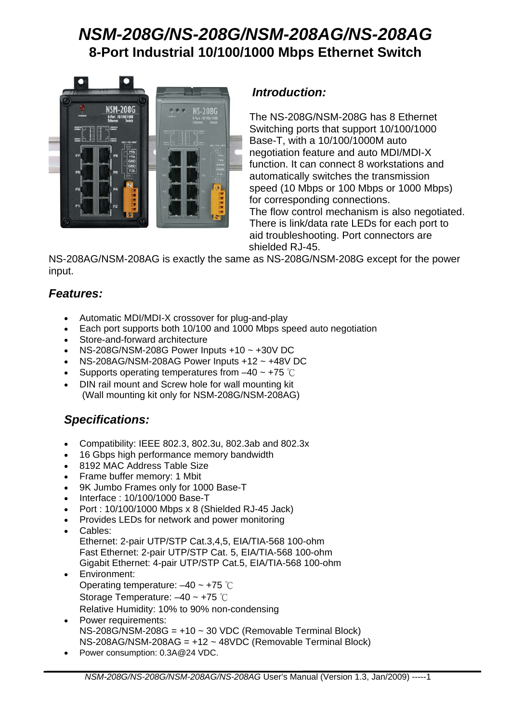# *NSM-208G/NS-208G/NSM-208AG/NS-208AG*  **8-Port Industrial 10/100/1000 Mbps Ethernet Switch**



### *Introduction:*

The NS-208G/NSM-208G has 8 Ethernet Switching ports that support 10/100/1000 Base-T, with a 10/100/1000M auto negotiation feature and auto MDI/MDI-X function. It can connect 8 workstations and automatically switches the transmission speed (10 Mbps or 100 Mbps or 1000 Mbps) for corresponding connections. The flow control mechanism is also negotiated. There is link/data rate LEDs for each port to aid troubleshooting. Port connectors are shielded RJ-45.

NS-208AG/NSM-208AG is exactly the same as NS-208G/NSM-208G except for the power input.

## *Features:*

- Automatic MDI/MDI-X crossover for plug-and-play
- Each port supports both 10/100 and 1000 Mbps speed auto negotiation
- Store-and-forward architecture
- NS-208G/NSM-208G Power Inputs  $+10 \sim +30$ V DC
- NS-208AG/NSM-208AG Power Inputs  $+12 \sim +48V$  DC
- Supports operating temperatures from  $-40 \sim +75$  °C
- DIN rail mount and Screw hole for wall mounting kit (Wall mounting kit only for NSM-208G/NSM-208AG)

## *Specifications:*

- Compatibility: IEEE 802.3, 802.3u, 802.3ab and 802.3x
- 16 Gbps high performance memory bandwidth
- 8192 MAC Address Table Size
- Frame buffer memory: 1 Mbit
- 9K Jumbo Frames only for 1000 Base-T
- Interface : 10/100/1000 Base-T
- Port : 10/100/1000 Mbps x 8 (Shielded RJ-45 Jack)
- Provides LEDs for network and power monitoring
- Cables: Ethernet: 2-pair UTP/STP Cat.3,4,5, EIA/TIA-568 100-ohm Fast Ethernet: 2-pair UTP/STP Cat. 5, EIA/TIA-568 100-ohm Gigabit Ethernet: 4-pair UTP/STP Cat.5, EIA/TIA-568 100-ohm
- Environment: Operating temperature:  $-40 \sim +75$  °C Storage Temperature: –40 ~ +75 ℃ Relative Humidity: 10% to 90% non-condensing
- Power requirements:  $NS-208G/NSM-208G = +10 \sim 30 \text{ VDC}$  (Removable Terminal Block) NS-208AG/NSM-208AG = +12 ~ 48VDC (Removable Terminal Block)
- Power consumption: 0.3A@24 VDC.